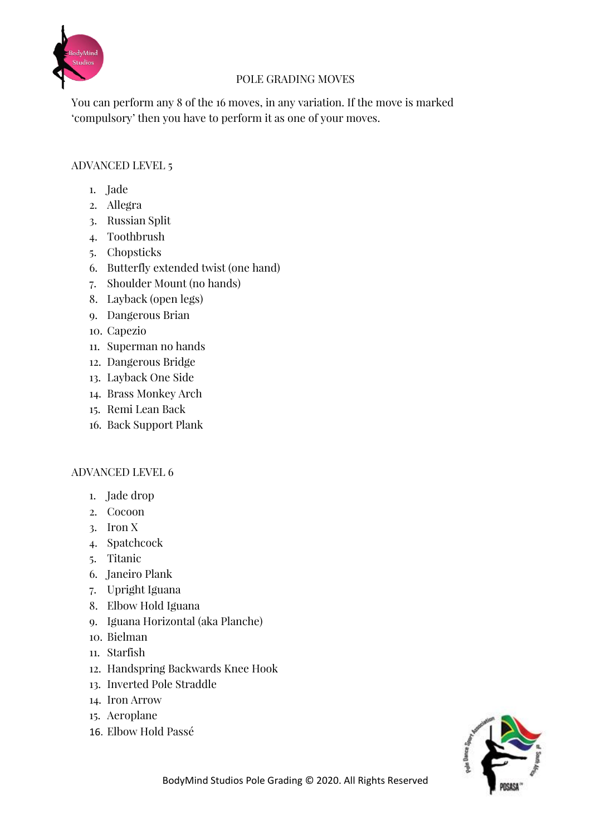

### POLE GRADING MOVES

You can perform any 8 of the 16 moves, in any variation. If the move is marked 'compulsory' then you have to perform it as one of your moves.

#### ADVANCED LEVEL 5

- 1. Jade
- 2. Allegra
- 3. Russian Split
- 4. Toothbrush
- 5. Chopsticks
- 6. Butterfly extended twist (one hand)
- 7. Shoulder Mount (no hands)
- 8. Layback (open legs)
- 9. Dangerous Brian
- 10. Capezio
- 11. Superman no hands
- 12. Dangerous Bridge
- 13. Layback One Side
- 14. Brass Monkey Arch
- 15. Remi Lean Back
- 16. Back Support Plank

#### ADVANCED LEVEL 6

- 1. Jade drop
- 2. Cocoon
- 3. Iron X
- 4. Spatchcock
- 5. Titanic
- 6. Janeiro Plank
- 7. Upright Iguana
- 8. Elbow Hold Iguana
- 9. Iguana Horizontal (aka Planche)
- 10. Bielman
- 11. Starfish
- 12. Handspring Backwards Knee Hook
- 13. Inverted Pole Straddle
- 14. Iron Arrow
- 15. Aeroplane
- 16. Elbow Hold Passé

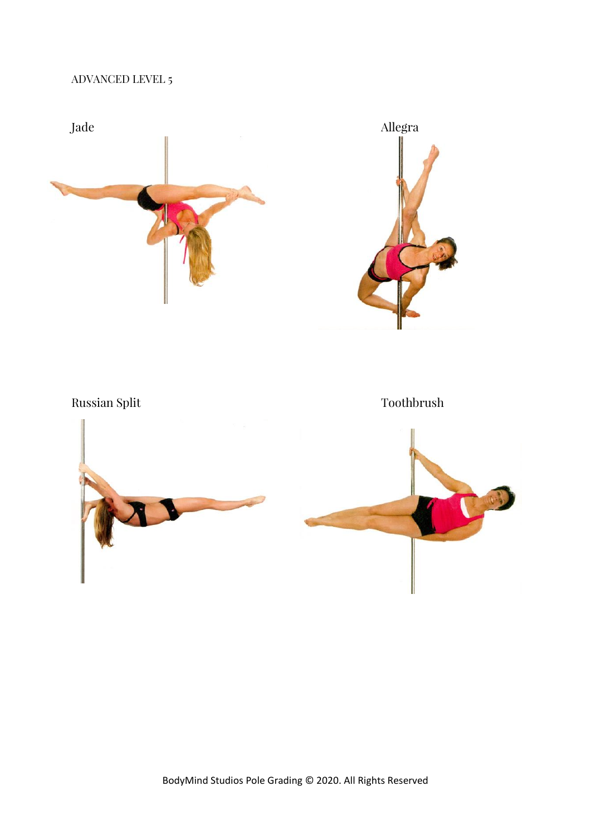## ADVANCED LEVEL 5





Russian Split Toothbrush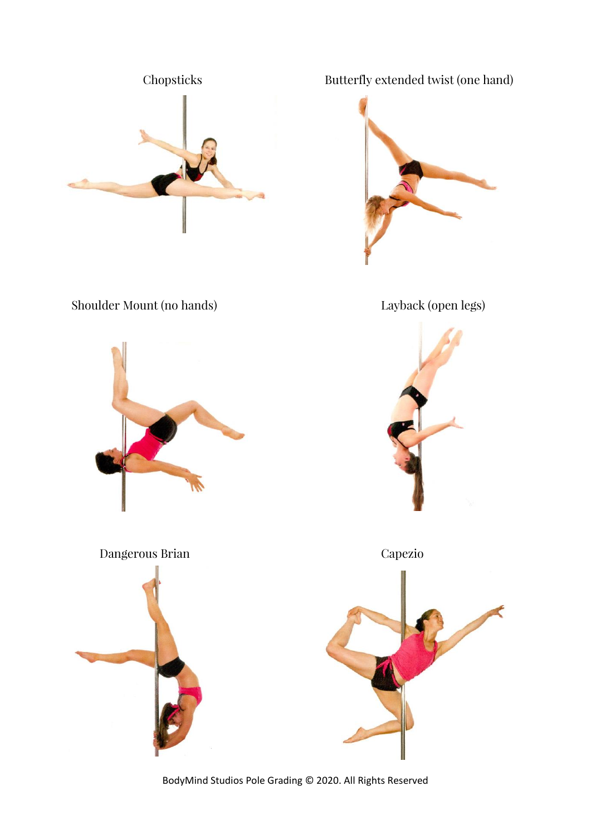



Shoulder Mount (no hands) Layback (open legs)

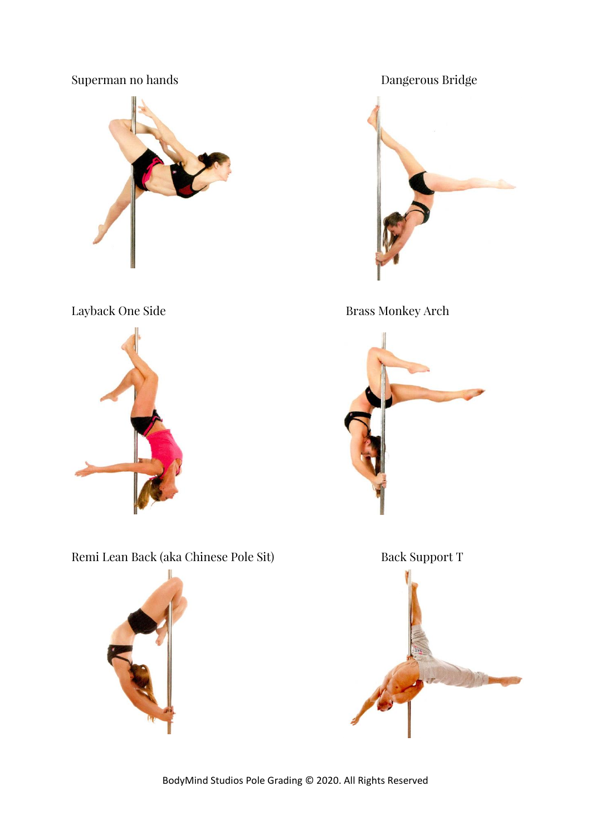# Superman no hands **Dangerous Bridge**





Remi Lean Back (aka Chinese Pole Sit) Back Support T





Layback One Side Brass Monkey Arch



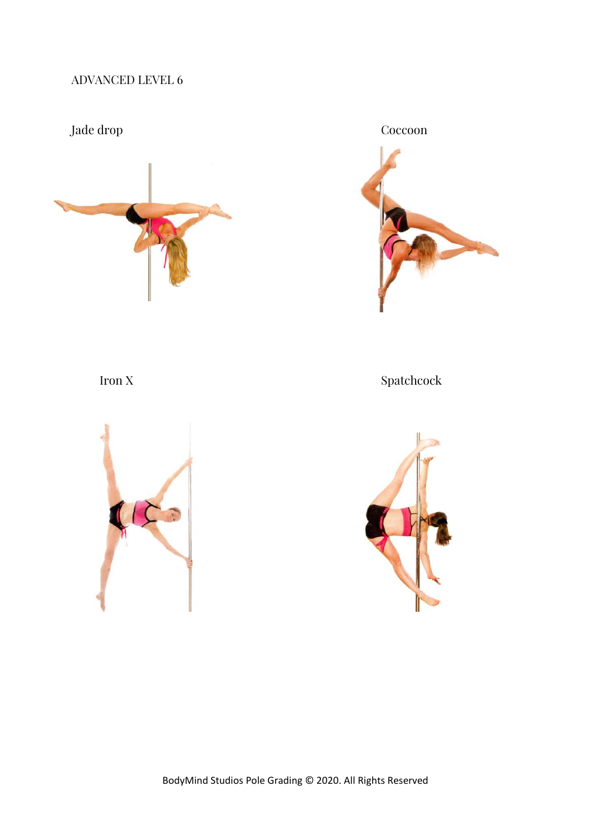## ADVANCED LEVEL 6







Iron X Spatchcock

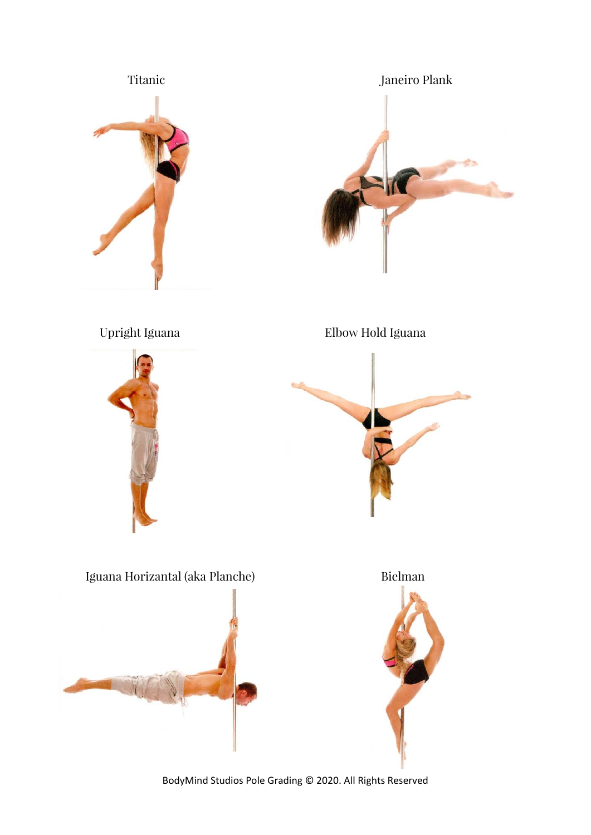